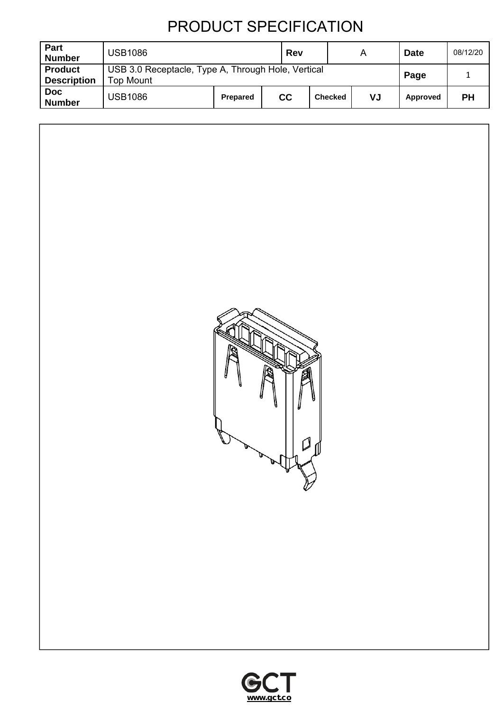| Part<br><b>Number</b>                | <b>USB1086</b>                                                  |                 | Rev |                | A  | <b>Date</b> | 08/12/20  |
|--------------------------------------|-----------------------------------------------------------------|-----------------|-----|----------------|----|-------------|-----------|
| <b>Product</b><br><b>Description</b> | USB 3.0 Receptacle, Type A, Through Hole, Vertical<br>Top Mount |                 |     |                |    | Page        |           |
| <b>Doc</b><br><b>Number</b>          | <b>USB1086</b>                                                  | <b>Prepared</b> | cc  | <b>Checked</b> | VJ | Approved    | <b>PH</b> |



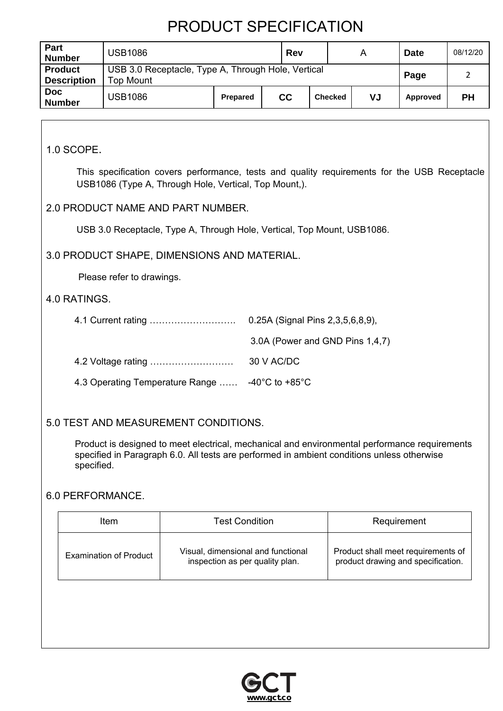| Part<br><b>Number</b>                | <b>USB1086</b>                                                         |                 | Rev |                | А  | <b>Date</b> | 08/12/20  |
|--------------------------------------|------------------------------------------------------------------------|-----------------|-----|----------------|----|-------------|-----------|
| <b>Product</b><br><b>Description</b> | USB 3.0 Receptacle, Type A, Through Hole, Vertical<br><b>Top Mount</b> |                 |     |                |    | Page        |           |
| <b>Doc</b><br><b>Number</b>          | <b>USB1086</b>                                                         | <b>Prepared</b> | cc  | <b>Checked</b> | VJ | Approved    | <b>PH</b> |

1.0 SCOPE.

This specification covers performance, tests and quality requirements for the USB Receptacle USB1086 (Type A, Through Hole, Vertical, Top Mount,).

### 2.0 PRODUCT NAME AND PART NUMBER.

USB 3.0 Receptacle, Type A, Through Hole, Vertical, Top Mount, USB1086.

### 3.0 PRODUCT SHAPE, DIMENSIONS AND MATERIAL.

Please refer to drawings.

#### 4.0 RATINGS.

|                                                 | 0.25A (Signal Pins 2,3,5,6,8,9), |  |  |
|-------------------------------------------------|----------------------------------|--|--|
|                                                 | 3.0A (Power and GND Pins 1,4,7)  |  |  |
|                                                 | 30 V AC/DC                       |  |  |
| 4.3 Operating Temperature Range  -40°C to +85°C |                                  |  |  |

### 5.0 TEST AND MEASUREMENT CONDITIONS.

Product is designed to meet electrical, mechanical and environmental performance requirements specified in Paragraph 6.0. All tests are performed in ambient conditions unless otherwise specified.

#### 6.0 PERFORMANCE.

| <b>Test Condition</b><br>ltem |                                                                       | Requirement                                                              |
|-------------------------------|-----------------------------------------------------------------------|--------------------------------------------------------------------------|
| <b>Examination of Product</b> | Visual, dimensional and functional<br>inspection as per quality plan. | Product shall meet requirements of<br>product drawing and specification. |

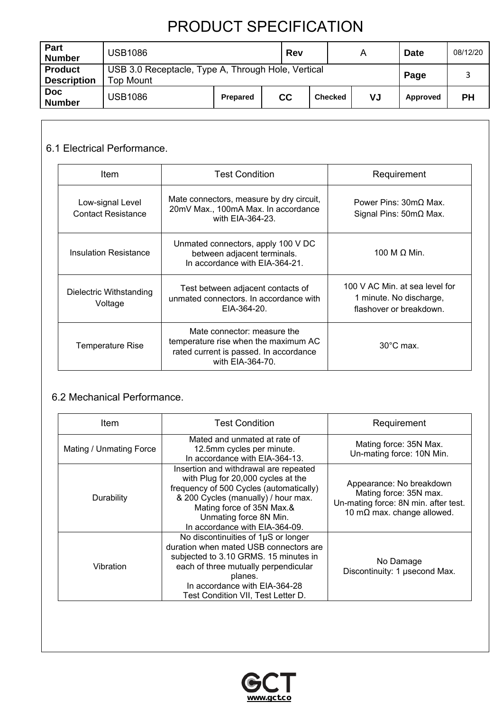| <b>Part</b><br><b>Number</b>         | <b>USB1086</b>                                                         |          | Rev |                | A  | <b>Date</b> | 08/12/20  |
|--------------------------------------|------------------------------------------------------------------------|----------|-----|----------------|----|-------------|-----------|
| <b>Product</b><br><b>Description</b> | USB 3.0 Receptacle, Type A, Through Hole, Vertical<br><b>Top Mount</b> |          |     |                |    | Page        |           |
| <b>Doc</b><br><b>Number</b>          | <b>USB1086</b>                                                         | Prepared | cc  | <b>Checked</b> | VJ | Approved    | <b>PH</b> |

### 6.1 Electrical Performance.

| <b>Item</b>                                   | <b>Test Condition</b>                                                                                                             |                                                                                      |
|-----------------------------------------------|-----------------------------------------------------------------------------------------------------------------------------------|--------------------------------------------------------------------------------------|
| Low-signal Level<br><b>Contact Resistance</b> | Mate connectors, measure by dry circuit,<br>20mV Max., 100mA Max. In accordance<br>with EIA-364-23.                               | Power Pins: 30mO Max.<br>Signal Pins: $50 \text{m}\Omega$ Max.                       |
| Insulation Resistance                         | Unmated connectors, apply 100 V DC<br>between adjacent terminals.<br>In accordance with EIA-364-21.                               | 100 M $\Omega$ Min.                                                                  |
| Dielectric Withstanding<br>Voltage            | Test between adjacent contacts of<br>unmated connectors. In accordance with<br>$EIA-364-20.$                                      | 100 V AC Min. at sea level for<br>1 minute. No discharge,<br>flashover or breakdown. |
| <b>Temperature Rise</b>                       | Mate connector: measure the<br>temperature rise when the maximum AC<br>rated current is passed. In accordance<br>with EIA-364-70. | $30^{\circ}$ C max.                                                                  |

### 6.2 Mechanical Performance.

| <b>Test Condition</b><br>ltem |                                                                                                                                                                                                                                                        | Requirement                                                                                                                      |
|-------------------------------|--------------------------------------------------------------------------------------------------------------------------------------------------------------------------------------------------------------------------------------------------------|----------------------------------------------------------------------------------------------------------------------------------|
| Mating / Unmating Force       | Mated and unmated at rate of<br>12.5mm cycles per minute.<br>In accordance with EIA-364-13.                                                                                                                                                            | Mating force: 35N Max.<br>Un-mating force: 10N Min.                                                                              |
| Durability                    | Insertion and withdrawal are repeated<br>with Plug for 20,000 cycles at the<br>frequency of 500 Cycles (automatically)<br>& 200 Cycles (manually) / hour max.<br>Mating force of 35N Max.&<br>Unmating force 8N Min.<br>In accordance with EIA-364-09. | Appearance: No breakdown<br>Mating force: 35N max.<br>Un-mating force: 8N min. after test.<br>10 m $\Omega$ max. change allowed. |
| Vibration                     | No discontinuities of 1µS or longer<br>duration when mated USB connectors are<br>subjected to 3.10 GRMS. 15 minutes in<br>each of three mutually perpendicular<br>planes.<br>In accordance with EIA-364-28<br>Test Condition VII, Test Letter D.       | No Damage<br>Discontinuity: 1 usecond Max.                                                                                       |

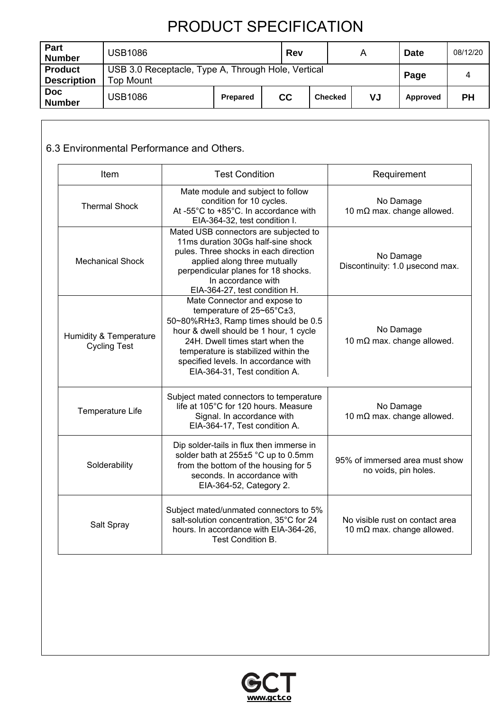| Part<br><b>Number</b>                | <b>USB1086</b>                                                         |                 | Rev |                | A  | <b>Date</b> | 08/12/20  |
|--------------------------------------|------------------------------------------------------------------------|-----------------|-----|----------------|----|-------------|-----------|
| <b>Product</b><br><b>Description</b> | USB 3.0 Receptacle, Type A, Through Hole, Vertical<br><b>Top Mount</b> |                 |     |                |    | Page        |           |
| <b>Doc</b><br><b>Number</b>          | <b>USB1086</b>                                                         | <b>Prepared</b> | cc  | <b>Checked</b> | VJ | Approved    | <b>PH</b> |

### 6.3 Environmental Performance and Others.

| Item                                          | <b>Test Condition</b>                                                                                                                                                                                                                                                                                                         | Requirement                                                           |
|-----------------------------------------------|-------------------------------------------------------------------------------------------------------------------------------------------------------------------------------------------------------------------------------------------------------------------------------------------------------------------------------|-----------------------------------------------------------------------|
| <b>Thermal Shock</b>                          | Mate module and subject to follow<br>condition for 10 cycles.<br>At -55°C to +85°C. In accordance with<br>EIA-364-32, test condition I.                                                                                                                                                                                       | No Damage<br>10 m $\Omega$ max. change allowed.                       |
| <b>Mechanical Shock</b>                       | Mated USB connectors are subjected to<br>11ms duration 30Gs half-sine shock<br>pules. Three shocks in each direction<br>applied along three mutually<br>perpendicular planes for 18 shocks.<br>In accordance with<br>EIA-364-27, test condition H.                                                                            | No Damage<br>Discontinuity: 1.0 usecond max.                          |
| Humidity & Temperature<br><b>Cycling Test</b> | Mate Connector and expose to<br>temperature of $25 \text{~}65^{\circ} \text{C} \pm 3$ ,<br>50~80%RH±3, Ramp times should be 0.5<br>hour & dwell should be 1 hour, 1 cycle<br>24H. Dwell times start when the<br>temperature is stabilized within the<br>specified levels. In accordance with<br>EIA-364-31, Test condition A. | No Damage<br>10 m $\Omega$ max. change allowed.                       |
| Temperature Life                              | Subject mated connectors to temperature<br>life at 105°C for 120 hours. Measure<br>Signal. In accordance with<br>EIA-364-17, Test condition A.                                                                                                                                                                                | No Damage<br>10 m $\Omega$ max. change allowed.                       |
| Solderability                                 | Dip solder-tails in flux then immerse in<br>solder bath at 255±5 °C up to 0.5mm<br>from the bottom of the housing for 5<br>seconds. In accordance with<br>EIA-364-52, Category 2.                                                                                                                                             | 95% of immersed area must show<br>no voids, pin holes.                |
| Salt Spray                                    | Subject mated/unmated connectors to 5%<br>salt-solution concentration, 35°C for 24<br>hours. In accordance with EIA-364-26,<br>Test Condition B.                                                                                                                                                                              | No visible rust on contact area<br>10 m $\Omega$ max. change allowed. |

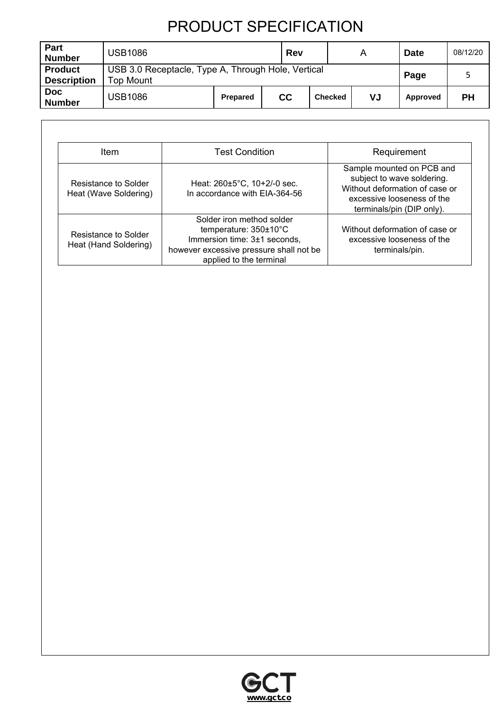| <b>Part</b><br><b>Number</b>         | <b>USB1086</b>                                                         |          | Rev |                | A  | <b>Date</b> | 08/12/20  |
|--------------------------------------|------------------------------------------------------------------------|----------|-----|----------------|----|-------------|-----------|
| <b>Product</b><br><b>Description</b> | USB 3.0 Receptacle, Type A, Through Hole, Vertical<br><b>Top Mount</b> |          |     |                |    | Page        |           |
| <b>Doc</b><br><b>Number</b>          | <b>USB1086</b>                                                         | Prepared | cc  | <b>Checked</b> | VJ | Approved    | <b>PH</b> |

| <b>Item</b>                                   | <b>Test Condition</b>                                                                                                                                    | Requirement                                                                                                                                          |
|-----------------------------------------------|----------------------------------------------------------------------------------------------------------------------------------------------------------|------------------------------------------------------------------------------------------------------------------------------------------------------|
| Resistance to Solder<br>Heat (Wave Soldering) | Heat: 260±5°C, 10+2/-0 sec.<br>In accordance with EIA-364-56                                                                                             | Sample mounted on PCB and<br>subject to wave soldering.<br>Without deformation of case or<br>excessive looseness of the<br>terminals/pin (DIP only). |
| Resistance to Solder<br>Heat (Hand Soldering) | Solder iron method solder<br>temperature: 350±10°C<br>Immersion time: 3±1 seconds,<br>however excessive pressure shall not be<br>applied to the terminal | Without deformation of case or<br>excessive looseness of the<br>terminals/pin.                                                                       |

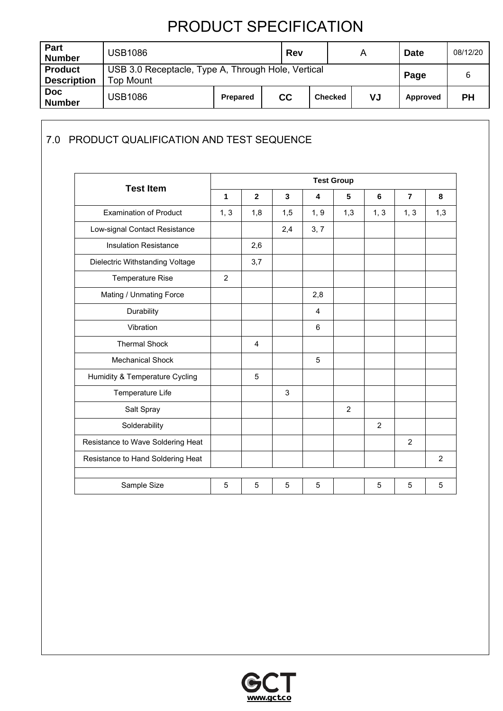| Part<br><b>Number</b>                | <b>USB1086</b>                                                  |                 | Rev |                | A  | <b>Date</b> | 08/12/20 |
|--------------------------------------|-----------------------------------------------------------------|-----------------|-----|----------------|----|-------------|----------|
| <b>Product</b><br><b>Description</b> | USB 3.0 Receptacle, Type A, Through Hole, Vertical<br>Top Mount |                 |     |                |    | Page        |          |
| <b>Doc</b><br><b>Number</b>          | <b>USB1086</b>                                                  | <b>Prepared</b> | cc  | <b>Checked</b> | VJ | Approved    | PН       |

### 7.0 PRODUCT QUALIFICATION AND TEST SEQUENCE

| <b>Test Item</b>                  | <b>Test Group</b> |                |     |      |                |      |                |     |
|-----------------------------------|-------------------|----------------|-----|------|----------------|------|----------------|-----|
|                                   | 1                 | $\overline{2}$ | 3   | 4    | 5              | 6    | $\overline{7}$ | 8   |
| <b>Examination of Product</b>     | 1, 3              | 1,8            | 1,5 | 1, 9 | 1,3            | 1, 3 | 1, 3           | 1,3 |
| Low-signal Contact Resistance     |                   |                | 2,4 | 3, 7 |                |      |                |     |
| <b>Insulation Resistance</b>      |                   | 2,6            |     |      |                |      |                |     |
| Dielectric Withstanding Voltage   |                   | 3,7            |     |      |                |      |                |     |
| Temperature Rise                  | $\overline{2}$    |                |     |      |                |      |                |     |
| Mating / Unmating Force           |                   |                |     | 2,8  |                |      |                |     |
| Durability                        |                   |                |     | 4    |                |      |                |     |
| Vibration                         |                   |                |     | 6    |                |      |                |     |
| <b>Thermal Shock</b>              |                   | $\overline{4}$ |     |      |                |      |                |     |
| <b>Mechanical Shock</b>           |                   |                |     | 5    |                |      |                |     |
| Humidity & Temperature Cycling    |                   | 5              |     |      |                |      |                |     |
| Temperature Life                  |                   |                | 3   |      |                |      |                |     |
| Salt Spray                        |                   |                |     |      | $\overline{2}$ |      |                |     |
| Solderability                     |                   |                |     |      |                | 2    |                |     |
| Resistance to Wave Soldering Heat |                   |                |     |      |                |      | $\overline{2}$ |     |
| Resistance to Hand Soldering Heat |                   |                |     |      |                |      |                | 2   |
|                                   |                   |                |     |      |                |      |                |     |
| Sample Size                       | 5                 | 5              | 5   | 5    |                | 5    | 5              | 5   |